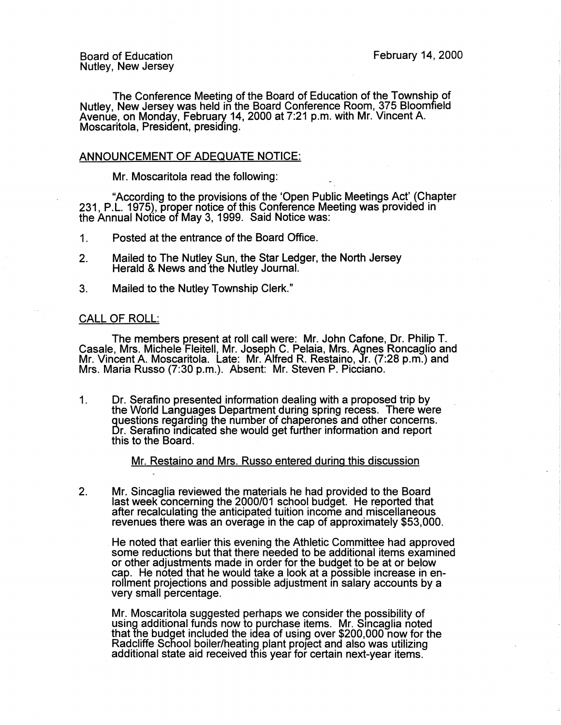The Conference Meeting of the Board of Education of the Township of Nutley, New Jersey was held in the Board Conference Room, 375 Bloomfield Avenue, on Monday, February 14, 2000 at 7:21 p.m. with Mr. Vincent A. Moscaritola, President, presiding.

## ANNOUNCEMENT OF ADEQUATE NOTICE:

Mr. Moscaritola read the following:

"According to the provisions of the 'Open Public Meetings Act' (Chapter 231, P.L. 1975), proper notice of this Conference Meeting was provided in the Annual Notice of May 3, 1999. Said Notice was:

1. Posted at the entrance of the Board Office.

- 2. Mailed to The Nutley Sun, the Star Ledger, the North Jersey Herald & News and the Nutley Journal.
- 3. Mailed to the Nutley Township Clerk."

## CALL OF ROLL:

The members present at roll call were: Mr. John Cafone, Dr. Philip T. Casale, Mrs. Michele Fleitell, Mr. Joseph C. Pelaia, Mrs. Agnes Roncaglio and Mr. Vincent A. Moscaritola. Late: Mr. Alfred R. Restaino, Jr. (7:28 p.m.) and Mrs. Maria Russo (7:30 p.m.). Absent: Mr. Steven P. Picciano.

1. Dr. Serafino presented information dealing with a proposed trip by the World Languages Department during spring recess. There were guestions regarding the number of chaperones and other concerns. Dr. Serafino indicated she would get further information and report this to the Board.

Mr. Restaino and Mrs. Russo entered during this discussion

2. Mr. Sincaglia reviewed the materials he had provided to the Board last week concerning the 2000/01 school budget. He reported that after recalculating the anticipated tuition income and miscellaneous revenues there was an overage in the cap of approximately \$53,000 .

. He noted that earlier this evening the Athletic Committee had approved some reductions but that there needed to be additional items examined or other adjustments made in order for the budget to be at or below cap. He noted that he would take a look at a possible increase in enrollment projections and possible adjustment in salary accounts by a very small percentage.

Mr. Moscaritola suggested perhaps we consider the possibility of using additional funds now to purchase items. Mr. Smcaglia noted that the budget included the idea of using over \$200,000 now for the Radcliffe School boiler/heating plant proJect and also was utilizing additional state aid received this year for certain next-year items.